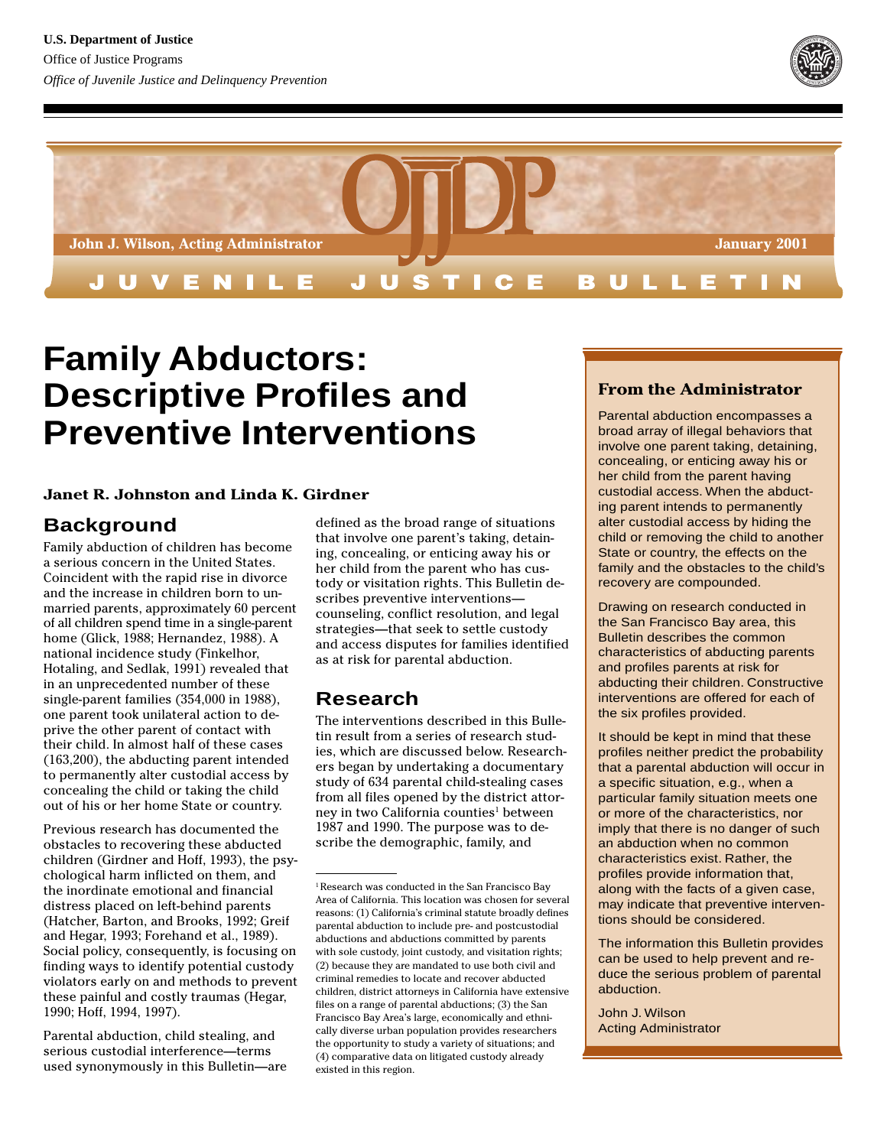



# **Family Abductors: Descriptive Profiles and Preventive Interventions**

#### **Janet R. Johnston and Linda K. Girdner**

## **Background**

Family abduction of children has become a serious concern in the United States. Coincident with the rapid rise in divorce and the increase in children born to unmarried parents, approximately 60 percent of all children spend time in a single-parent home (Glick, 1988; Hernandez, 1988). A national incidence study (Finkelhor, Hotaling, and Sedlak, 1991) revealed that in an unprecedented number of these single-parent families (354,000 in 1988), one parent took unilateral action to deprive the other parent of contact with their child. In almost half of these cases (163,200), the abducting parent intended to permanently alter custodial access by concealing the child or taking the child out of his or her home State or country.

Previous research has documented the obstacles to recovering these abducted children (Girdner and Hoff, 1993), the psychological harm inflicted on them, and the inordinate emotional and financial distress placed on left-behind parents (Hatcher, Barton, and Brooks, 1992; Greif and Hegar, 1993; Forehand et al., 1989). Social policy, consequently, is focusing on finding ways to identify potential custody violators early on and methods to prevent these painful and costly traumas (Hegar, 1990; Hoff, 1994, 1997).

Parental abduction, child stealing, and serious custodial interference—terms used synonymously in this Bulletin—are

defined as the broad range of situations that involve one parent's taking, detaining, concealing, or enticing away his or her child from the parent who has custody or visitation rights. This Bulletin describes preventive interventions counseling, conflict resolution, and legal strategies—that seek to settle custody and access disputes for families identified as at risk for parental abduction.

# **Research**

The interventions described in this Bulletin result from a series of research studies, which are discussed below. Researchers began by undertaking a documentary study of 634 parental child-stealing cases from all files opened by the district attorney in two California counties<sup>1</sup> between 1987 and 1990. The purpose was to describe the demographic, family, and

### **From the Administrator**

Parental abduction encompasses a broad array of illegal behaviors that involve one parent taking, detaining, concealing, or enticing away his or her child from the parent having custodial access. When the abducting parent intends to permanently alter custodial access by hiding the child or removing the child to another State or country, the effects on the family and the obstacles to the child's recovery are compounded.

Drawing on research conducted in the San Francisco Bay area, this Bulletin describes the common characteristics of abducting parents and profiles parents at risk for abducting their children. Constructive interventions are offered for each of the six profiles provided.

It should be kept in mind that these profiles neither predict the probability that a parental abduction will occur in a specific situation, e.g., when a particular family situation meets one or more of the characteristics, nor imply that there is no danger of such an abduction when no common characteristics exist. Rather, the profiles provide information that, along with the facts of a given case, may indicate that preventive interventions should be considered.

The information this Bulletin provides can be used to help prevent and reduce the serious problem of parental abduction.

John J. Wilson Acting Administrator

<sup>&</sup>lt;sup>1</sup> Research was conducted in the San Francisco Bay Area of California. This location was chosen for several reasons: (1) California's criminal statute broadly defines parental abduction to include pre- and postcustodial abductions and abductions committed by parents with sole custody, joint custody, and visitation rights; (2) because they are mandated to use both civil and criminal remedies to locate and recover abducted children, district attorneys in California have extensive files on a range of parental abductions; (3) the San Francisco Bay Area's large, economically and ethnically diverse urban population provides researchers the opportunity to study a variety of situations; and (4) comparative data on litigated custody already existed in this region.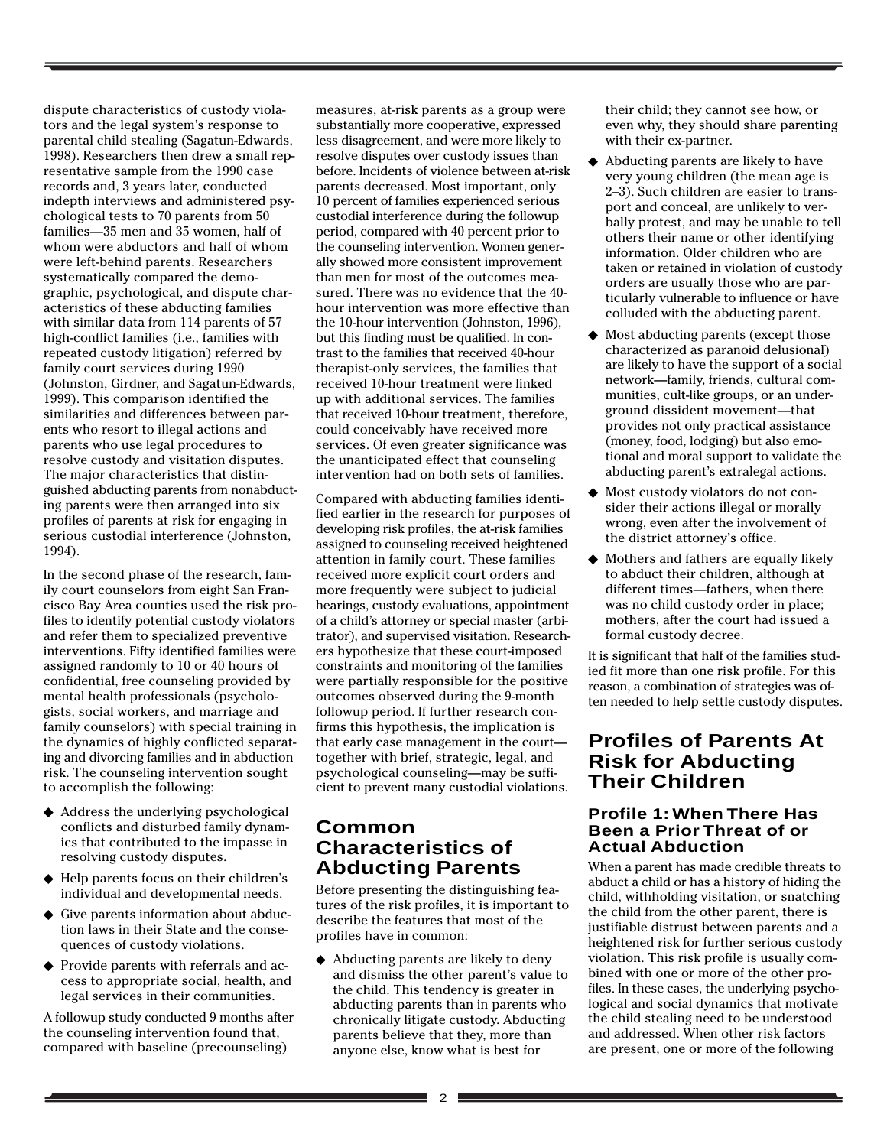dispute characteristics of custody violators and the legal system's response to parental child stealing (Sagatun-Edwards, 1998). Researchers then drew a small representative sample from the 1990 case records and, 3 years later, conducted indepth interviews and administered psychological tests to 70 parents from 50 families—35 men and 35 women, half of whom were abductors and half of whom were left-behind parents. Researchers systematically compared the demographic, psychological, and dispute characteristics of these abducting families with similar data from 114 parents of 57 high-conflict families (i.e., families with repeated custody litigation) referred by family court services during 1990 (Johnston, Girdner, and Sagatun-Edwards, 1999). This comparison identified the similarities and differences between parents who resort to illegal actions and parents who use legal procedures to resolve custody and visitation disputes. The major characteristics that distinguished abducting parents from nonabducting parents were then arranged into six profiles of parents at risk for engaging in serious custodial interference (Johnston, 1994).

In the second phase of the research, family court counselors from eight San Francisco Bay Area counties used the risk profiles to identify potential custody violators and refer them to specialized preventive interventions. Fifty identified families were assigned randomly to 10 or 40 hours of confidential, free counseling provided by mental health professionals (psychologists, social workers, and marriage and family counselors) with special training in the dynamics of highly conflicted separating and divorcing families and in abduction risk. The counseling intervention sought to accomplish the following:

- ◆ Address the underlying psychological conflicts and disturbed family dynamics that contributed to the impasse in resolving custody disputes.
- ◆ Help parents focus on their children's individual and developmental needs.
- ◆ Give parents information about abduction laws in their State and the consequences of custody violations.
- ◆ Provide parents with referrals and access to appropriate social, health, and legal services in their communities.

A followup study conducted 9 months after the counseling intervention found that, compared with baseline (precounseling)

measures, at-risk parents as a group were substantially more cooperative, expressed less disagreement, and were more likely to resolve disputes over custody issues than before. Incidents of violence between at-risk parents decreased. Most important, only 10 percent of families experienced serious custodial interference during the followup period, compared with 40 percent prior to the counseling intervention. Women generally showed more consistent improvement than men for most of the outcomes measured. There was no evidence that the 40 hour intervention was more effective than the 10-hour intervention (Johnston, 1996), but this finding must be qualified. In contrast to the families that received 40-hour therapist-only services, the families that received 10-hour treatment were linked up with additional services. The families that received 10-hour treatment, therefore, could conceivably have received more services. Of even greater significance was the unanticipated effect that counseling intervention had on both sets of families.

Compared with abducting families identified earlier in the research for purposes of developing risk profiles, the at-risk families assigned to counseling received heightened attention in family court. These families received more explicit court orders and more frequently were subject to judicial hearings, custody evaluations, appointment of a child's attorney or special master (arbitrator), and supervised visitation. Researchers hypothesize that these court-imposed constraints and monitoring of the families were partially responsible for the positive outcomes observed during the 9-month followup period. If further research confirms this hypothesis, the implication is that early case management in the court together with brief, strategic, legal, and psychological counseling—may be sufficient to prevent many custodial violations.

### **Common Characteristics of Abducting Parents**

Before presenting the distinguishing features of the risk profiles, it is important to describe the features that most of the profiles have in common:

◆ Abducting parents are likely to deny and dismiss the other parent's value to the child. This tendency is greater in abducting parents than in parents who chronically litigate custody. Abducting parents believe that they, more than anyone else, know what is best for

their child; they cannot see how, or even why, they should share parenting with their ex-partner.

- ◆ Abducting parents are likely to have very young children (the mean age is 2–3). Such children are easier to transport and conceal, are unlikely to verbally protest, and may be unable to tell others their name or other identifying information. Older children who are taken or retained in violation of custody orders are usually those who are particularly vulnerable to influence or have colluded with the abducting parent.
- ◆ Most abducting parents (except those characterized as paranoid delusional) are likely to have the support of a social network—family, friends, cultural communities, cult-like groups, or an underground dissident movement—that provides not only practical assistance (money, food, lodging) but also emotional and moral support to validate the abducting parent's extralegal actions.
- ◆ Most custody violators do not consider their actions illegal or morally wrong, even after the involvement of the district attorney's office.
- ◆ Mothers and fathers are equally likely to abduct their children, although at different times—fathers, when there was no child custody order in place; mothers, after the court had issued a formal custody decree.

It is significant that half of the families studied fit more than one risk profile. For this reason, a combination of strategies was often needed to help settle custody disputes.

### **Profiles of Parents At Risk for Abducting Their Children**

#### **Profile 1: When There Has Been a Prior Threat of or Actual Abduction**

When a parent has made credible threats to abduct a child or has a history of hiding the child, withholding visitation, or snatching the child from the other parent, there is justifiable distrust between parents and a heightened risk for further serious custody violation. This risk profile is usually combined with one or more of the other profiles. In these cases, the underlying psychological and social dynamics that motivate the child stealing need to be understood and addressed. When other risk factors are present, one or more of the following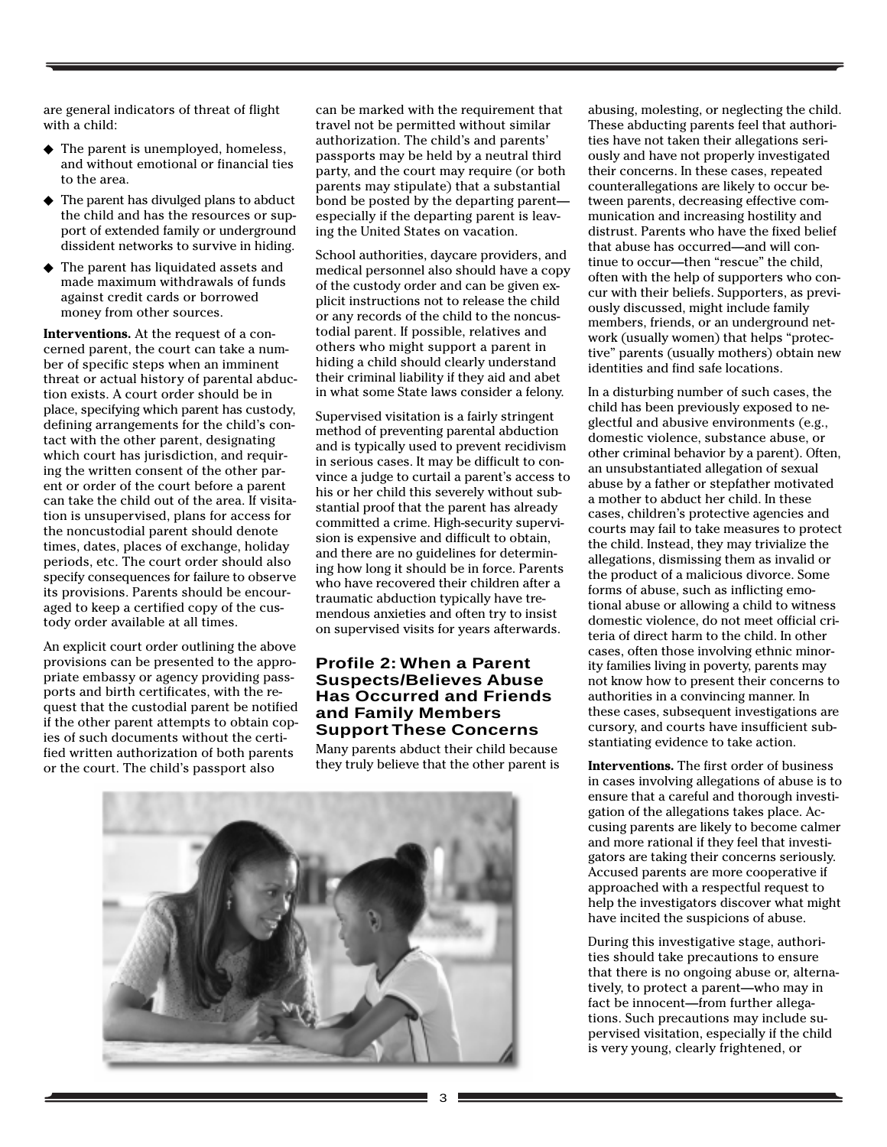are general indicators of threat of flight with a child:

- ◆ The parent is unemployed, homeless, and without emotional or financial ties to the area.
- ◆ The parent has divulged plans to abduct the child and has the resources or support of extended family or underground dissident networks to survive in hiding.
- ◆ The parent has liquidated assets and made maximum withdrawals of funds against credit cards or borrowed money from other sources.

**Interventions.** At the request of a concerned parent, the court can take a number of specific steps when an imminent threat or actual history of parental abduction exists. A court order should be in place, specifying which parent has custody, defining arrangements for the child's contact with the other parent, designating which court has jurisdiction, and requiring the written consent of the other parent or order of the court before a parent can take the child out of the area. If visitation is unsupervised, plans for access for the noncustodial parent should denote times, dates, places of exchange, holiday periods, etc. The court order should also specify consequences for failure to observe its provisions. Parents should be encouraged to keep a certified copy of the custody order available at all times.

An explicit court order outlining the above provisions can be presented to the appropriate embassy or agency providing passports and birth certificates, with the request that the custodial parent be notified if the other parent attempts to obtain copies of such documents without the certified written authorization of both parents or the court. The child's passport also

can be marked with the requirement that travel not be permitted without similar authorization. The child's and parents' passports may be held by a neutral third party, and the court may require (or both parents may stipulate) that a substantial bond be posted by the departing parent especially if the departing parent is leaving the United States on vacation.

School authorities, daycare providers, and medical personnel also should have a copy of the custody order and can be given explicit instructions not to release the child or any records of the child to the noncustodial parent. If possible, relatives and others who might support a parent in hiding a child should clearly understand their criminal liability if they aid and abet in what some State laws consider a felony.

Supervised visitation is a fairly stringent method of preventing parental abduction and is typically used to prevent recidivism in serious cases. It may be difficult to convince a judge to curtail a parent's access to his or her child this severely without substantial proof that the parent has already committed a crime. High-security supervision is expensive and difficult to obtain, and there are no guidelines for determining how long it should be in force. Parents who have recovered their children after a traumatic abduction typically have tremendous anxieties and often try to insist on supervised visits for years afterwards.

#### **Profile 2: When a Parent Suspects/Believes Abuse Has Occurred and Friends and Family Members Support These Concerns**

Many parents abduct their child because they truly believe that the other parent is



abusing, molesting, or neglecting the child. These abducting parents feel that authorities have not taken their allegations seriously and have not properly investigated their concerns. In these cases, repeated counterallegations are likely to occur between parents, decreasing effective communication and increasing hostility and distrust. Parents who have the fixed belief that abuse has occurred—and will continue to occur—then "rescue" the child, often with the help of supporters who concur with their beliefs. Supporters, as previously discussed, might include family members, friends, or an underground network (usually women) that helps "protective" parents (usually mothers) obtain new identities and find safe locations.

In a disturbing number of such cases, the child has been previously exposed to neglectful and abusive environments (e.g., domestic violence, substance abuse, or other criminal behavior by a parent). Often, an unsubstantiated allegation of sexual abuse by a father or stepfather motivated a mother to abduct her child. In these cases, children's protective agencies and courts may fail to take measures to protect the child. Instead, they may trivialize the allegations, dismissing them as invalid or the product of a malicious divorce. Some forms of abuse, such as inflicting emotional abuse or allowing a child to witness domestic violence, do not meet official criteria of direct harm to the child. In other cases, often those involving ethnic minority families living in poverty, parents may not know how to present their concerns to authorities in a convincing manner. In these cases, subsequent investigations are cursory, and courts have insufficient substantiating evidence to take action.

**Interventions.** The first order of business in cases involving allegations of abuse is to ensure that a careful and thorough investigation of the allegations takes place. Accusing parents are likely to become calmer and more rational if they feel that investigators are taking their concerns seriously. Accused parents are more cooperative if approached with a respectful request to help the investigators discover what might have incited the suspicions of abuse.

During this investigative stage, authorities should take precautions to ensure that there is no ongoing abuse or, alternatively, to protect a parent—who may in fact be innocent—from further allegations. Such precautions may include supervised visitation, especially if the child is very young, clearly frightened, or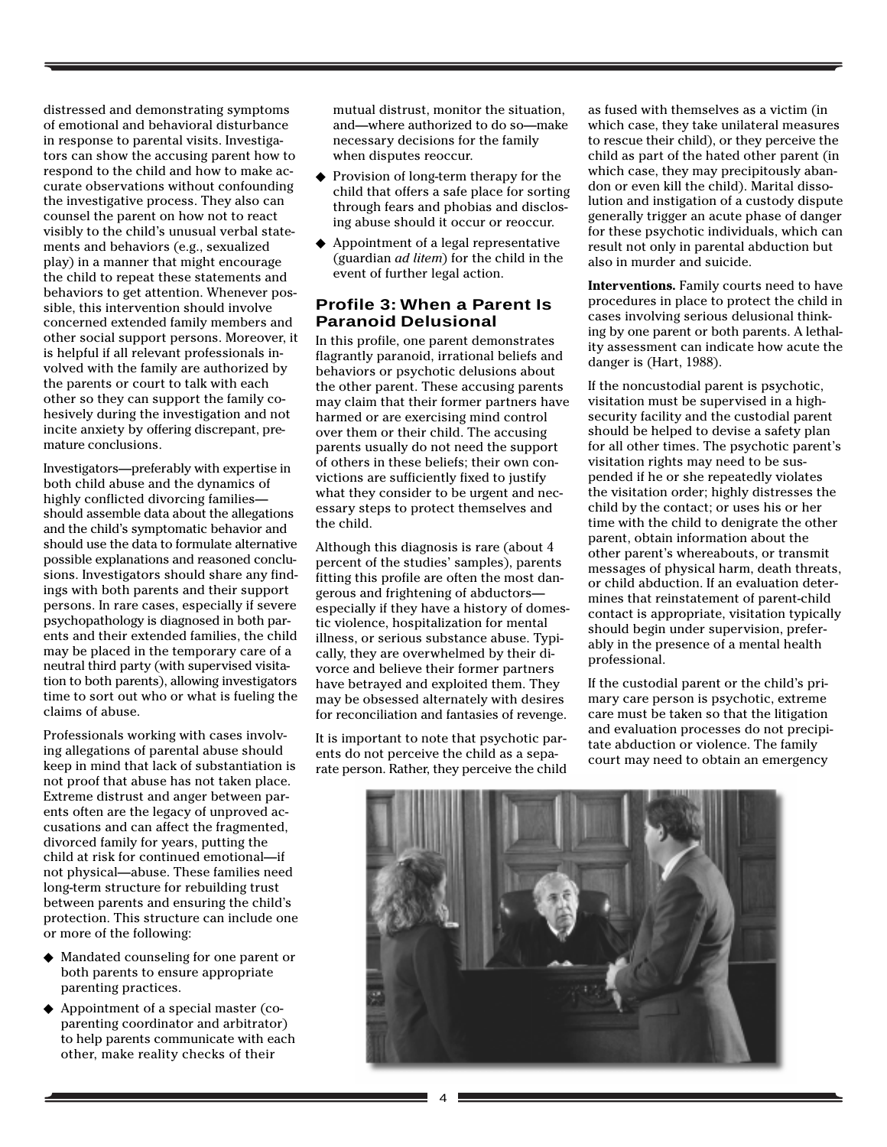distressed and demonstrating symptoms of emotional and behavioral disturbance in response to parental visits. Investigators can show the accusing parent how to respond to the child and how to make accurate observations without confounding the investigative process. They also can counsel the parent on how not to react visibly to the child's unusual verbal statements and behaviors (e.g., sexualized play) in a manner that might encourage the child to repeat these statements and behaviors to get attention. Whenever possible, this intervention should involve concerned extended family members and other social support persons. Moreover, it is helpful if all relevant professionals involved with the family are authorized by the parents or court to talk with each other so they can support the family cohesively during the investigation and not incite anxiety by offering discrepant, premature conclusions.

Investigators—preferably with expertise in both child abuse and the dynamics of highly conflicted divorcing families should assemble data about the allegations and the child's symptomatic behavior and should use the data to formulate alternative possible explanations and reasoned conclusions. Investigators should share any findings with both parents and their support persons. In rare cases, especially if severe psychopathology is diagnosed in both parents and their extended families, the child may be placed in the temporary care of a neutral third party (with supervised visitation to both parents), allowing investigators time to sort out who or what is fueling the claims of abuse.

Professionals working with cases involving allegations of parental abuse should keep in mind that lack of substantiation is not proof that abuse has not taken place. Extreme distrust and anger between parents often are the legacy of unproved accusations and can affect the fragmented, divorced family for years, putting the child at risk for continued emotional—if not physical—abuse. These families need long-term structure for rebuilding trust between parents and ensuring the child's protection. This structure can include one or more of the following:

- ◆ Mandated counseling for one parent or both parents to ensure appropriate parenting practices.
- ◆ Appointment of a special master (coparenting coordinator and arbitrator) to help parents communicate with each other, make reality checks of their

mutual distrust, monitor the situation, and—where authorized to do so—make necessary decisions for the family when disputes reoccur.

- ◆ Provision of long-term therapy for the child that offers a safe place for sorting through fears and phobias and disclosing abuse should it occur or reoccur.
- ◆ Appointment of a legal representative (guardian *ad litem*) for the child in the event of further legal action.

#### **Profile 3: When a Parent Is Paranoid Delusional**

In this profile, one parent demonstrates flagrantly paranoid, irrational beliefs and behaviors or psychotic delusions about the other parent. These accusing parents may claim that their former partners have harmed or are exercising mind control over them or their child. The accusing parents usually do not need the support of others in these beliefs; their own convictions are sufficiently fixed to justify what they consider to be urgent and necessary steps to protect themselves and the child.

Although this diagnosis is rare (about 4 percent of the studies' samples), parents fitting this profile are often the most dangerous and frightening of abductors especially if they have a history of domestic violence, hospitalization for mental illness, or serious substance abuse. Typically, they are overwhelmed by their divorce and believe their former partners have betrayed and exploited them. They may be obsessed alternately with desires for reconciliation and fantasies of revenge.

It is important to note that psychotic parents do not perceive the child as a separate person. Rather, they perceive the child as fused with themselves as a victim (in which case, they take unilateral measures to rescue their child), or they perceive the child as part of the hated other parent (in which case, they may precipitously abandon or even kill the child). Marital dissolution and instigation of a custody dispute generally trigger an acute phase of danger for these psychotic individuals, which can result not only in parental abduction but also in murder and suicide.

**Interventions.** Family courts need to have procedures in place to protect the child in cases involving serious delusional thinking by one parent or both parents. A lethality assessment can indicate how acute the danger is (Hart, 1988).

If the noncustodial parent is psychotic, visitation must be supervised in a highsecurity facility and the custodial parent should be helped to devise a safety plan for all other times. The psychotic parent's visitation rights may need to be suspended if he or she repeatedly violates the visitation order; highly distresses the child by the contact; or uses his or her time with the child to denigrate the other parent, obtain information about the other parent's whereabouts, or transmit messages of physical harm, death threats, or child abduction. If an evaluation determines that reinstatement of parent-child contact is appropriate, visitation typically should begin under supervision, preferably in the presence of a mental health professional.

If the custodial parent or the child's primary care person is psychotic, extreme care must be taken so that the litigation and evaluation processes do not precipitate abduction or violence. The family court may need to obtain an emergency

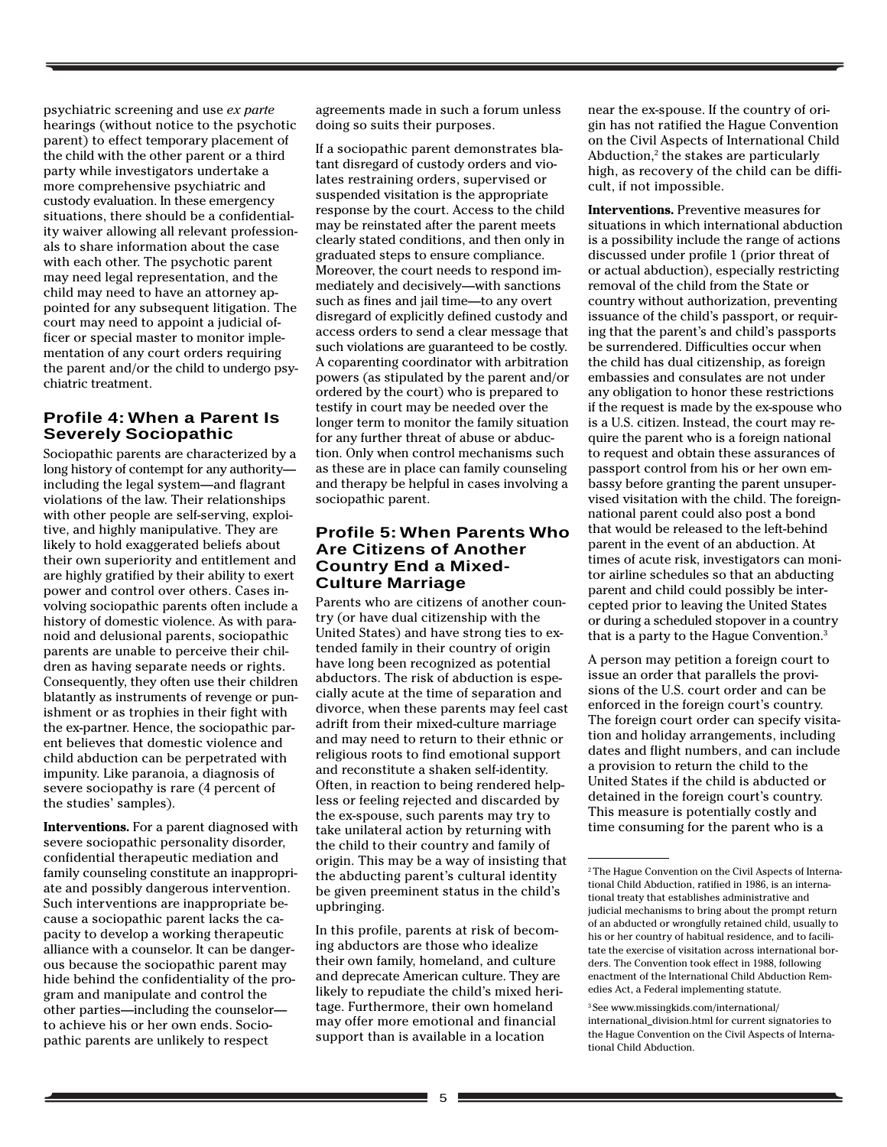psychiatric screening and use *ex parte* hearings (without notice to the psychotic parent) to effect temporary placement of the child with the other parent or a third party while investigators undertake a more comprehensive psychiatric and custody evaluation. In these emergency situations, there should be a confidentiality waiver allowing all relevant professionals to share information about the case with each other. The psychotic parent may need legal representation, and the child may need to have an attorney appointed for any subsequent litigation. The court may need to appoint a judicial officer or special master to monitor implementation of any court orders requiring the parent and/or the child to undergo psychiatric treatment.

#### **Profile 4: When a Parent Is Severely Sociopathic**

Sociopathic parents are characterized by a long history of contempt for any authority including the legal system—and flagrant violations of the law. Their relationships with other people are self-serving, exploitive, and highly manipulative. They are likely to hold exaggerated beliefs about their own superiority and entitlement and are highly gratified by their ability to exert power and control over others. Cases involving sociopathic parents often include a history of domestic violence. As with paranoid and delusional parents, sociopathic parents are unable to perceive their children as having separate needs or rights. Consequently, they often use their children blatantly as instruments of revenge or punishment or as trophies in their fight with the ex-partner. Hence, the sociopathic parent believes that domestic violence and child abduction can be perpetrated with impunity. Like paranoia, a diagnosis of severe sociopathy is rare (4 percent of the studies' samples).

**Interventions.** For a parent diagnosed with severe sociopathic personality disorder, confidential therapeutic mediation and family counseling constitute an inappropriate and possibly dangerous intervention. Such interventions are inappropriate because a sociopathic parent lacks the capacity to develop a working therapeutic alliance with a counselor. It can be dangerous because the sociopathic parent may hide behind the confidentiality of the program and manipulate and control the other parties—including the counselor to achieve his or her own ends. Sociopathic parents are unlikely to respect

agreements made in such a forum unless doing so suits their purposes.

If a sociopathic parent demonstrates blatant disregard of custody orders and violates restraining orders, supervised or suspended visitation is the appropriate response by the court. Access to the child may be reinstated after the parent meets clearly stated conditions, and then only in graduated steps to ensure compliance. Moreover, the court needs to respond immediately and decisively—with sanctions such as fines and jail time—to any overt disregard of explicitly defined custody and access orders to send a clear message that such violations are guaranteed to be costly. A coparenting coordinator with arbitration powers (as stipulated by the parent and/or ordered by the court) who is prepared to testify in court may be needed over the longer term to monitor the family situation for any further threat of abuse or abduction. Only when control mechanisms such as these are in place can family counseling and therapy be helpful in cases involving a sociopathic parent.

#### **Profile 5: When Parents Who Are Citizens of Another Country End a Mixed-Culture Marriage**

Parents who are citizens of another country (or have dual citizenship with the United States) and have strong ties to extended family in their country of origin have long been recognized as potential abductors. The risk of abduction is especially acute at the time of separation and divorce, when these parents may feel cast adrift from their mixed-culture marriage and may need to return to their ethnic or religious roots to find emotional support and reconstitute a shaken self-identity. Often, in reaction to being rendered helpless or feeling rejected and discarded by the ex-spouse, such parents may try to take unilateral action by returning with the child to their country and family of origin. This may be a way of insisting that the abducting parent's cultural identity be given preeminent status in the child's upbringing.

In this profile, parents at risk of becoming abductors are those who idealize their own family, homeland, and culture and deprecate American culture. They are likely to repudiate the child's mixed heritage. Furthermore, their own homeland may offer more emotional and financial support than is available in a location

near the ex-spouse. If the country of origin has not ratified the Hague Convention on the Civil Aspects of International Child Abduction, $2$  the stakes are particularly high, as recovery of the child can be difficult, if not impossible.

**Interventions.** Preventive measures for situations in which international abduction is a possibility include the range of actions discussed under profile 1 (prior threat of or actual abduction), especially restricting removal of the child from the State or country without authorization, preventing issuance of the child's passport, or requiring that the parent's and child's passports be surrendered. Difficulties occur when the child has dual citizenship, as foreign embassies and consulates are not under any obligation to honor these restrictions if the request is made by the ex-spouse who is a U.S. citizen. Instead, the court may require the parent who is a foreign national to request and obtain these assurances of passport control from his or her own embassy before granting the parent unsupervised visitation with the child. The foreignnational parent could also post a bond that would be released to the left-behind parent in the event of an abduction. At times of acute risk, investigators can monitor airline schedules so that an abducting parent and child could possibly be intercepted prior to leaving the United States or during a scheduled stopover in a country that is a party to the Hague Convention.<sup>3</sup>

A person may petition a foreign court to issue an order that parallels the provisions of the U.S. court order and can be enforced in the foreign court's country. The foreign court order can specify visitation and holiday arrangements, including dates and flight numbers, and can include a provision to return the child to the United States if the child is abducted or detained in the foreign court's country. This measure is potentially costly and time consuming for the parent who is a

<sup>2</sup> The Hague Convention on the Civil Aspects of International Child Abduction, ratified in 1986, is an international treaty that establishes administrative and judicial mechanisms to bring about the prompt return of an abducted or wrongfully retained child, usually to his or her country of habitual residence, and to facilitate the exercise of visitation across international borders. The Convention took effect in 1988, following enactment of the International Child Abduction Remedies Act, a Federal implementing statute.

<sup>3</sup> See www.missingkids.com/international/ international\_division.html for current signatories to the Hague Convention on the Civil Aspects of International Child Abduction.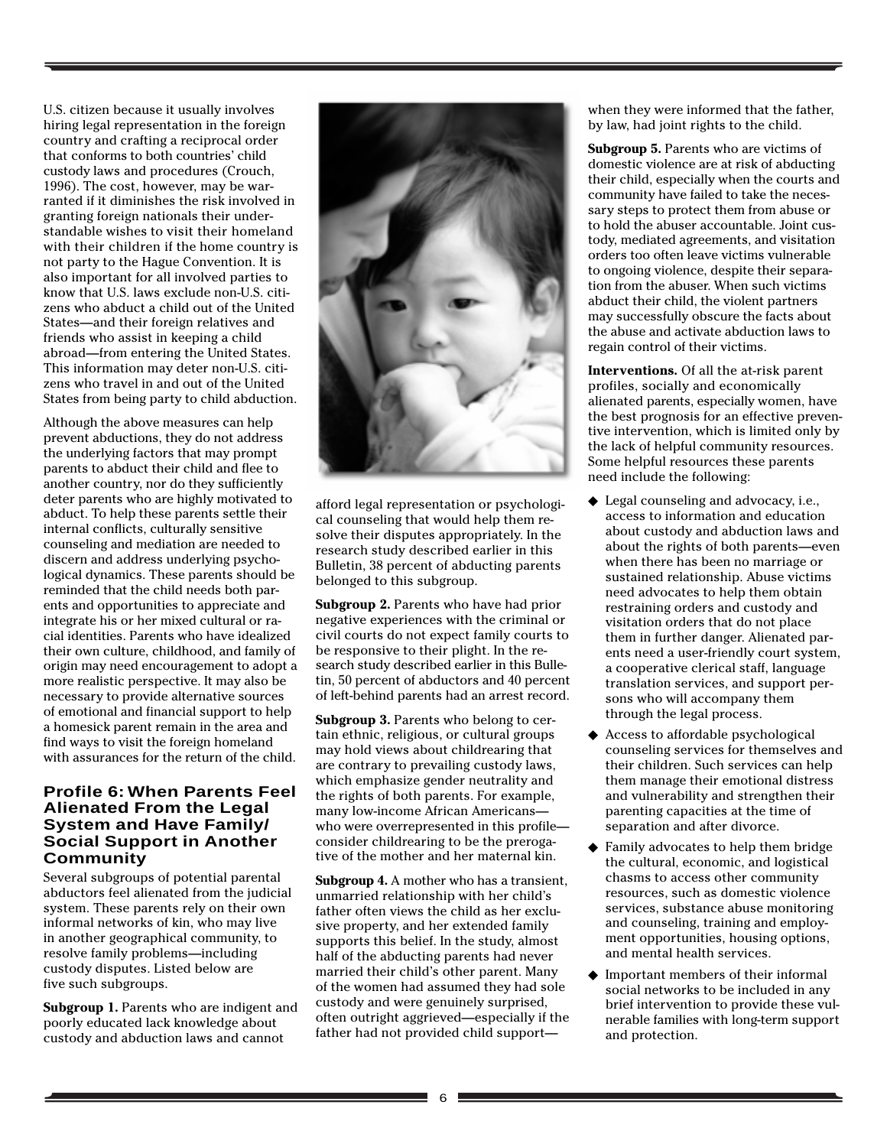U.S. citizen because it usually involves hiring legal representation in the foreign country and crafting a reciprocal order that conforms to both countries' child custody laws and procedures (Crouch, 1996). The cost, however, may be warranted if it diminishes the risk involved in granting foreign nationals their understandable wishes to visit their homeland with their children if the home country is not party to the Hague Convention. It is also important for all involved parties to know that U.S. laws exclude non-U.S. citizens who abduct a child out of the United States—and their foreign relatives and friends who assist in keeping a child abroad—from entering the United States. This information may deter non-U.S. citizens who travel in and out of the United States from being party to child abduction.

Although the above measures can help prevent abductions, they do not address the underlying factors that may prompt parents to abduct their child and flee to another country, nor do they sufficiently deter parents who are highly motivated to abduct. To help these parents settle their internal conflicts, culturally sensitive counseling and mediation are needed to discern and address underlying psychological dynamics. These parents should be reminded that the child needs both parents and opportunities to appreciate and integrate his or her mixed cultural or racial identities. Parents who have idealized their own culture, childhood, and family of origin may need encouragement to adopt a more realistic perspective. It may also be necessary to provide alternative sources of emotional and financial support to help a homesick parent remain in the area and find ways to visit the foreign homeland with assurances for the return of the child.

#### **Profile 6: When Parents Feel Alienated From the Legal System and Have Family/ Social Support in Another Community**

Several subgroups of potential parental abductors feel alienated from the judicial system. These parents rely on their own informal networks of kin, who may live in another geographical community, to resolve family problems—including custody disputes. Listed below are five such subgroups.

**Subgroup 1.** Parents who are indigent and poorly educated lack knowledge about custody and abduction laws and cannot



afford legal representation or psychological counseling that would help them resolve their disputes appropriately. In the research study described earlier in this Bulletin, 38 percent of abducting parents belonged to this subgroup.

**Subgroup 2.** Parents who have had prior negative experiences with the criminal or civil courts do not expect family courts to be responsive to their plight. In the research study described earlier in this Bulletin, 50 percent of abductors and 40 percent of left-behind parents had an arrest record.

**Subgroup 3.** Parents who belong to certain ethnic, religious, or cultural groups may hold views about childrearing that are contrary to prevailing custody laws, which emphasize gender neutrality and the rights of both parents. For example, many low-income African Americans who were overrepresented in this profile consider childrearing to be the prerogative of the mother and her maternal kin.

**Subgroup 4.** A mother who has a transient, unmarried relationship with her child's father often views the child as her exclusive property, and her extended family supports this belief. In the study, almost half of the abducting parents had never married their child's other parent. Many of the women had assumed they had sole custody and were genuinely surprised, often outright aggrieved—especially if the father had not provided child supportwhen they were informed that the father, by law, had joint rights to the child.

**Subgroup 5.** Parents who are victims of domestic violence are at risk of abducting their child, especially when the courts and community have failed to take the necessary steps to protect them from abuse or to hold the abuser accountable. Joint custody, mediated agreements, and visitation orders too often leave victims vulnerable to ongoing violence, despite their separation from the abuser. When such victims abduct their child, the violent partners may successfully obscure the facts about the abuse and activate abduction laws to regain control of their victims.

**Interventions.** Of all the at-risk parent profiles, socially and economically alienated parents, especially women, have the best prognosis for an effective preventive intervention, which is limited only by the lack of helpful community resources. Some helpful resources these parents need include the following:

- ◆ Legal counseling and advocacy, i.e., access to information and education about custody and abduction laws and about the rights of both parents—even when there has been no marriage or sustained relationship. Abuse victims need advocates to help them obtain restraining orders and custody and visitation orders that do not place them in further danger. Alienated parents need a user-friendly court system, a cooperative clerical staff, language translation services, and support persons who will accompany them through the legal process.
- ◆ Access to affordable psychological counseling services for themselves and their children. Such services can help them manage their emotional distress and vulnerability and strengthen their parenting capacities at the time of separation and after divorce.
- ◆ Family advocates to help them bridge the cultural, economic, and logistical chasms to access other community resources, such as domestic violence services, substance abuse monitoring and counseling, training and employment opportunities, housing options, and mental health services.
- ◆ Important members of their informal social networks to be included in any brief intervention to provide these vulnerable families with long-term support and protection.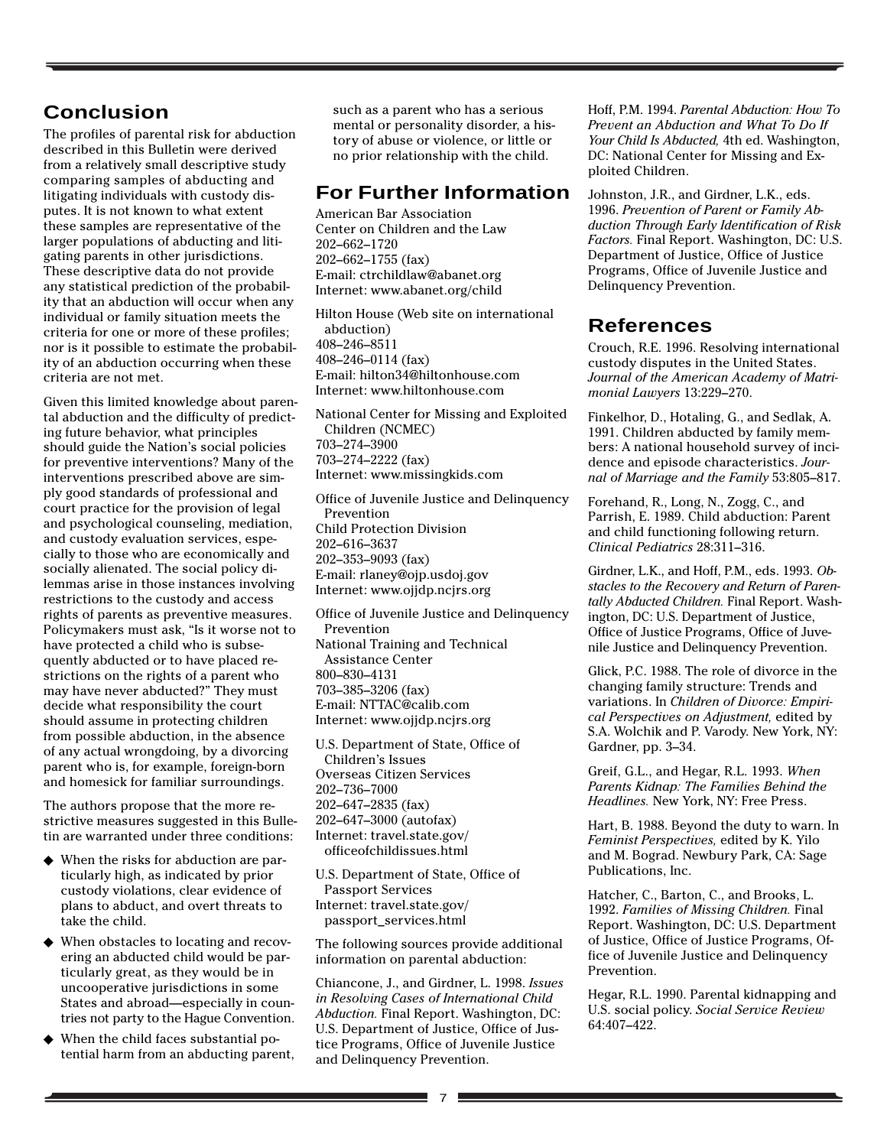# **Conclusion**

The profiles of parental risk for abduction described in this Bulletin were derived from a relatively small descriptive study comparing samples of abducting and litigating individuals with custody disputes. It is not known to what extent these samples are representative of the larger populations of abducting and litigating parents in other jurisdictions. These descriptive data do not provide any statistical prediction of the probability that an abduction will occur when any individual or family situation meets the criteria for one or more of these profiles; nor is it possible to estimate the probability of an abduction occurring when these criteria are not met.

Given this limited knowledge about parental abduction and the difficulty of predicting future behavior, what principles should guide the Nation's social policies for preventive interventions? Many of the interventions prescribed above are simply good standards of professional and court practice for the provision of legal and psychological counseling, mediation, and custody evaluation services, especially to those who are economically and socially alienated. The social policy dilemmas arise in those instances involving restrictions to the custody and access rights of parents as preventive measures. Policymakers must ask, "Is it worse not to have protected a child who is subsequently abducted or to have placed restrictions on the rights of a parent who may have never abducted?" They must decide what responsibility the court should assume in protecting children from possible abduction, in the absence of any actual wrongdoing, by a divorcing parent who is, for example, foreign-born and homesick for familiar surroundings.

The authors propose that the more restrictive measures suggested in this Bulletin are warranted under three conditions:

- ◆ When the risks for abduction are particularly high, as indicated by prior custody violations, clear evidence of plans to abduct, and overt threats to take the child.
- ◆ When obstacles to locating and recovering an abducted child would be particularly great, as they would be in uncooperative jurisdictions in some States and abroad—especially in countries not party to the Hague Convention.
- ◆ When the child faces substantial potential harm from an abducting parent,

such as a parent who has a serious mental or personality disorder, a history of abuse or violence, or little or no prior relationship with the child.

### **For Further Information**

American Bar Association Center on Children and the Law 202–662–1720 202–662–1755 (fax) E-mail: ctrchildlaw@abanet.org Internet: www.abanet.org/child

Hilton House (Web site on international abduction) 408–246–8511 408–246–0114 (fax) E-mail: hilton34@hiltonhouse.com Internet: www.hiltonhouse.com

National Center for Missing and Exploited Children (NCMEC) 703–274–3900 703–274–2222 (fax) Internet: www.missingkids.com

Office of Juvenile Justice and Delinquency Prevention Child Protection Division 202–616–3637 202–353–9093 (fax) E-mail: rlaney@ojp.usdoj.gov Internet: www.ojjdp.ncjrs.org

Office of Juvenile Justice and Delinquency Prevention National Training and Technical Assistance Center 800–830–4131 703–385–3206 (fax) E-mail: NTTAC@calib.com Internet: www.ojjdp.ncjrs.org

U.S. Department of State, Office of Children's Issues Overseas Citizen Services 202–736–7000 202–647–2835 (fax) 202–647–3000 (autofax) Internet: travel.state.gov/ officeofchildissues.html

U.S. Department of State, Office of Passport Services Internet: travel.state.gov/ passport\_services.html

The following sources provide additional information on parental abduction:

Chiancone, J., and Girdner, L. 1998. *Issues in Resolving Cases of International Child Abduction.* Final Report. Washington, DC: U.S. Department of Justice, Office of Justice Programs, Office of Juvenile Justice and Delinquency Prevention.

Hoff, P.M. 1994. *Parental Abduction: How To Prevent an Abduction and What To Do If Your Child Is Abducted,* 4th ed. Washington, DC: National Center for Missing and Exploited Children.

Johnston, J.R., and Girdner, L.K., eds. 1996. *Prevention of Parent or Family Abduction Through Early Identification of Risk Factors.* Final Report. Washington, DC: U.S. Department of Justice, Office of Justice Programs, Office of Juvenile Justice and Delinquency Prevention.

# **References**

Crouch, R.E. 1996. Resolving international custody disputes in the United States. *Journal of the American Academy of Matrimonial Lawyers* 13:229–270.

Finkelhor, D., Hotaling, G., and Sedlak, A. 1991. Children abducted by family members: A national household survey of incidence and episode characteristics. *Journal of Marriage and the Family* 53:805–817.

Forehand, R., Long, N., Zogg, C., and Parrish, E. 1989. Child abduction: Parent and child functioning following return. *Clinical Pediatrics* 28:311–316.

Girdner, L.K., and Hoff, P.M., eds. 1993. *Obstacles to the Recovery and Return of Parentally Abducted Children.* Final Report. Washington, DC: U.S. Department of Justice, Office of Justice Programs, Office of Juvenile Justice and Delinquency Prevention.

Glick, P.C. 1988. The role of divorce in the changing family structure: Trends and variations. In *Children of Divorce: Empirical Perspectives on Adjustment,* edited by S.A. Wolchik and P. Varody. New York, NY: Gardner, pp. 3–34.

Greif, G.L., and Hegar, R.L. 1993. *When Parents Kidnap: The Families Behind the Headlines.* New York, NY: Free Press.

Hart, B. 1988. Beyond the duty to warn. In *Feminist Perspectives,* edited by K. Yilo and M. Bograd. Newbury Park, CA: Sage Publications, Inc.

Hatcher, C., Barton, C., and Brooks, L. 1992. *Families of Missing Children.* Final Report. Washington, DC: U.S. Department of Justice, Office of Justice Programs, Office of Juvenile Justice and Delinquency Prevention.

Hegar, R.L. 1990. Parental kidnapping and U.S. social policy. *Social Service Review* 64:407–422.